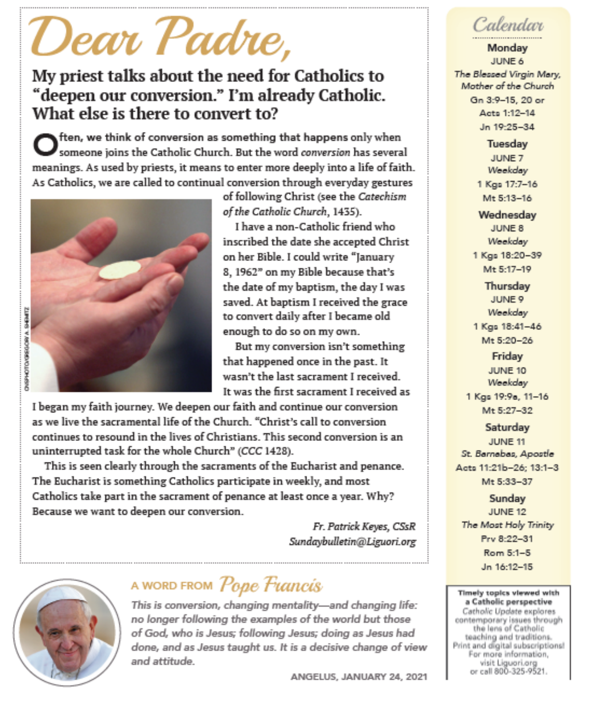# 'Dear Padre,

# My priest talks about the need for Catholics to "deepen our conversion." I'm already Catholic. What else is there to convert to?

 $\mathbf k$ ften, we think of conversion as something that happens only when someone joins the Catholic Church. But the word conversion has several meanings. As used by priests, it means to enter more deeply into a life of faith. As Catholics, we are called to continual conversion through everyday gestures



of following Christ (see the Catechism of the Catholic Church, 1435).

I have a non-Catholic friend who inscribed the date she accepted Christ on her Bible. I could write "January 8, 1962" on my Bible because that's the date of my baptism, the day I was saved. At baptism I received the grace to convert daily after I became old enough to do so on my own.

But my conversion isn't something that happened once in the past. It wasn't the last sacrament I received It was the first sacrament I received as

I began my faith journey. We deepen our faith and continue our conversion as we live the sacramental life of the Church. "Christ's call to conversion continues to resound in the lives of Christians. This second conversion is an uninterrupted task for the whole Church" (CCC 1428).

This is seen clearly through the sacraments of the Eucharist and penance. The Eucharist is something Catholics participate in weekly, and most Catholics take part in the sacrament of penance at least once a year. Why? Because we want to deepen our conversion.

> Fr. Patrick Keyes, CSsR Sundaybulletin@Liguori.org



# A WORD FROM Pope Francis

This is conversion, changing mentality-and changing life: no longer following the examples of the world but those of God, who is Jesus; following Jesus; doing as Jesus had done, and as Jesus taught us. It is a decisive change of view and attitude.

ANGELUS, JANUARY 24, 2021



Mondav JUNE 6 The Blessed Virgin Mary, Mother of the Church Gn 3:9-15, 20 or Acto 1:12-14 Jn 19-25-34

> Tuesdav JUNE 7 Weekday 1 Kgs 17:7-16

Mt 5:13-16

Wednesday JUNE 8 Weekday 1 Kgs 18:20-39 Mt 5:17-19 Thursday

JUNE 9 Weekday 1 Kgs 18:41-46 Mt 5:20-26 Friday JUNE 10 Weekday 1 Kgs 19:9a, 11-16 Mt 5:27-32

Saturday JUNE 11 St. Barnabas, Apostle Agts 11:21b-26: 13:1-3 Mt 5:33-37

Sundav JUNE 12 The Most Holy Trinity Prv 8-22-31 Rom 5:1-5 Jn 16:12-15

Timely topics viewed with a Catholic perspective Catholic Update explores contemporary issues through the lens of Catholic teaching and traditions. Print and digital subscriptions! For more information, visit Liguori.org<br>or call 800-325-9521.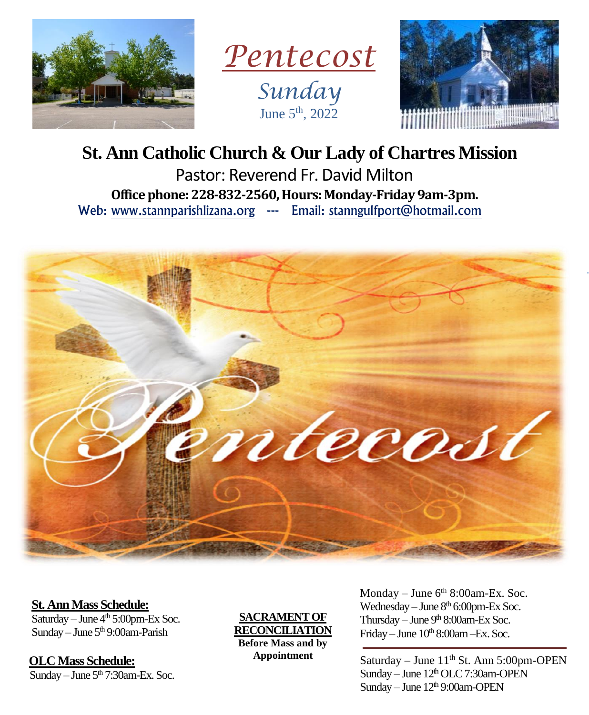

*Pentecost Sunday* June  $5<sup>th</sup>$ , 2022



# **St. Ann Catholic Church & Our Lady of Chartres Mission**

Pastor: Reverend Fr. David Milton **Office phone: 228-832-2560, Hours: Monday-Friday 9am-3pm.** Web: www.stannparishlizana.org --- Email: stanngulfport@hotmail.com



 **St. Ann Mass Schedule:**

Saturday – June  $4<sup>th</sup> 5:00$ pm-Ex Soc. Sunday – June  $5<sup>th</sup>$  9:00am-Parish

 **OLC Mass Schedule:** Sunday – June  $5<sup>th</sup>$  7:30am-Ex. Soc.

**SACRAMENT OF RECONCILIATION Before Mass and by Appointment**

Monday – June  $6<sup>th</sup> 8:00$ am-Ex. Soc. Wednesday – June  $8<sup>th</sup>$  6:00pm-Ex Soc. Thursday – June  $9<sup>th</sup> 8:00$ am-Ex Soc. Friday – June  $10^{th}$  8:00am – Ex. Soc.

Saturday – June 11<sup>th</sup> St. Ann 5:00pm-OPEN Sunday – June  $12<sup>th</sup>$  OLC 7:30am-OPEN Sunday – June  $12<sup>th</sup>$  9:00am-OPEN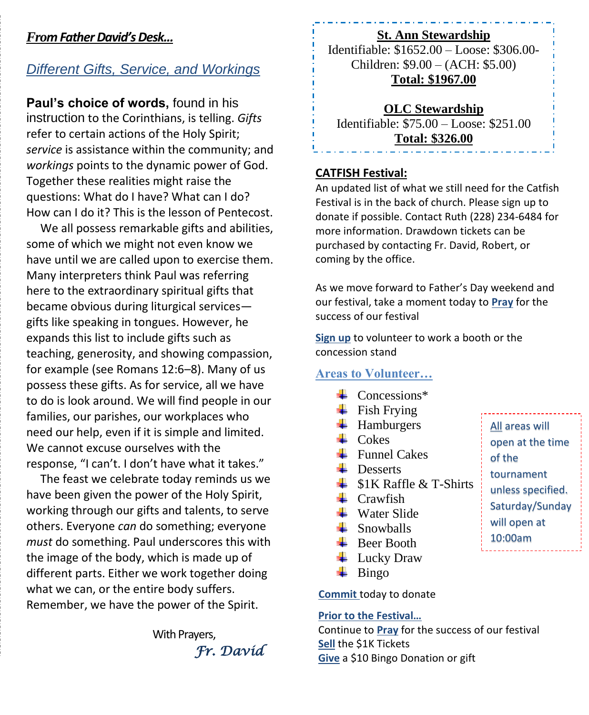### *From Father David'sDesk...*

# *Different Gifts, Service, and Workings*

**Paul's choice of words,** found in his instruction to the Corinthians, is telling. *Gifts*  refer to certain actions of the Holy Spirit; *service* is assistance within the community; and *workings* points to the dynamic power of God. Together these realities might raise the questions: What do I have? What can I do? How can I do it? This is the lesson of Pentecost.

We all possess remarkable gifts and abilities, some of which we might not even know we have until we are called upon to exercise them. Many interpreters think Paul was referring here to the extraordinary spiritual gifts that became obvious during liturgical services gifts like speaking in tongues. However, he expands this list to include gifts such as teaching, generosity, and showing compassion, for example (see Romans 12:6–8). Many of us possess these gifts. As for service, all we have to do is look around. We will find people in our families, our parishes, our workplaces who need our help, even if it is simple and limited. We cannot excuse ourselves with the response, "I can't. I don't have what it takes."

The feast we celebrate today reminds us we have been given the power of the Holy Spirit, working through our gifts and talents, to serve others. Everyone *can* do something; everyone *must* do something. Paul underscores this with the image of the body, which is made up of different parts. Either we work together doing what we can, or the entire body suffers. Remember, we have the power of the Spirit.

> With Prayers, *Fr. David*

#### **St. Ann Stewardship**

Identifiable: \$1652.00 – Loose: \$306.00- Children: \$9.00 – (ACH: \$5.00) **Total: \$1967.00**

**OLC Stewardship** Identifiable: \$75.00 – Loose: \$251.00 **Total: \$326.00**

#### **CATFISH Festival:**

An updated list of what we still need for the Catfish Festival is in the back of church. Please sign up to donate if possible. Contact Ruth (228) 234-6484 for more information. Drawdown tickets can be purchased by contacting Fr. David, Robert, or coming by the office.

As we move forward to Father's Day weekend and our festival, take a moment today to **Pray** for the success of our festival

**Sign up** to volunteer to work a booth or the concession stand

#### **Areas to Volunteer…**

- $\leftarrow$  Concessions\*
- $\overline{\phantom{a}}$  Fish Frying
- $\leftarrow$  Hamburgers
- $\perp$  Cokes
- $\perp$  Funnel Cakes
- $\blacksquare$  Desserts
- $\frac{1}{\sqrt{2}}$  \$1K Raffle & T-Shirts
- $\perp$  Crawfish
- $\frac{1}{2}$  Water Slide
- $\frac{1}{2}$  Snowballs
- $\bigstar$  Beer Booth
- $\overline{\phantom{a}}$  Lucky Draw
- $\overline{\phantom{a}}$  Bingo

**Commit** today to donate

#### **Prior to the Festival…**

Continue to **Pray** for the success of our festival **Sell** the \$1K Tickets **Give** a \$10 Bingo Donation or gift

All areas will open at the time of the tournament unless specified. Saturday/Sunday will open at 10:00am